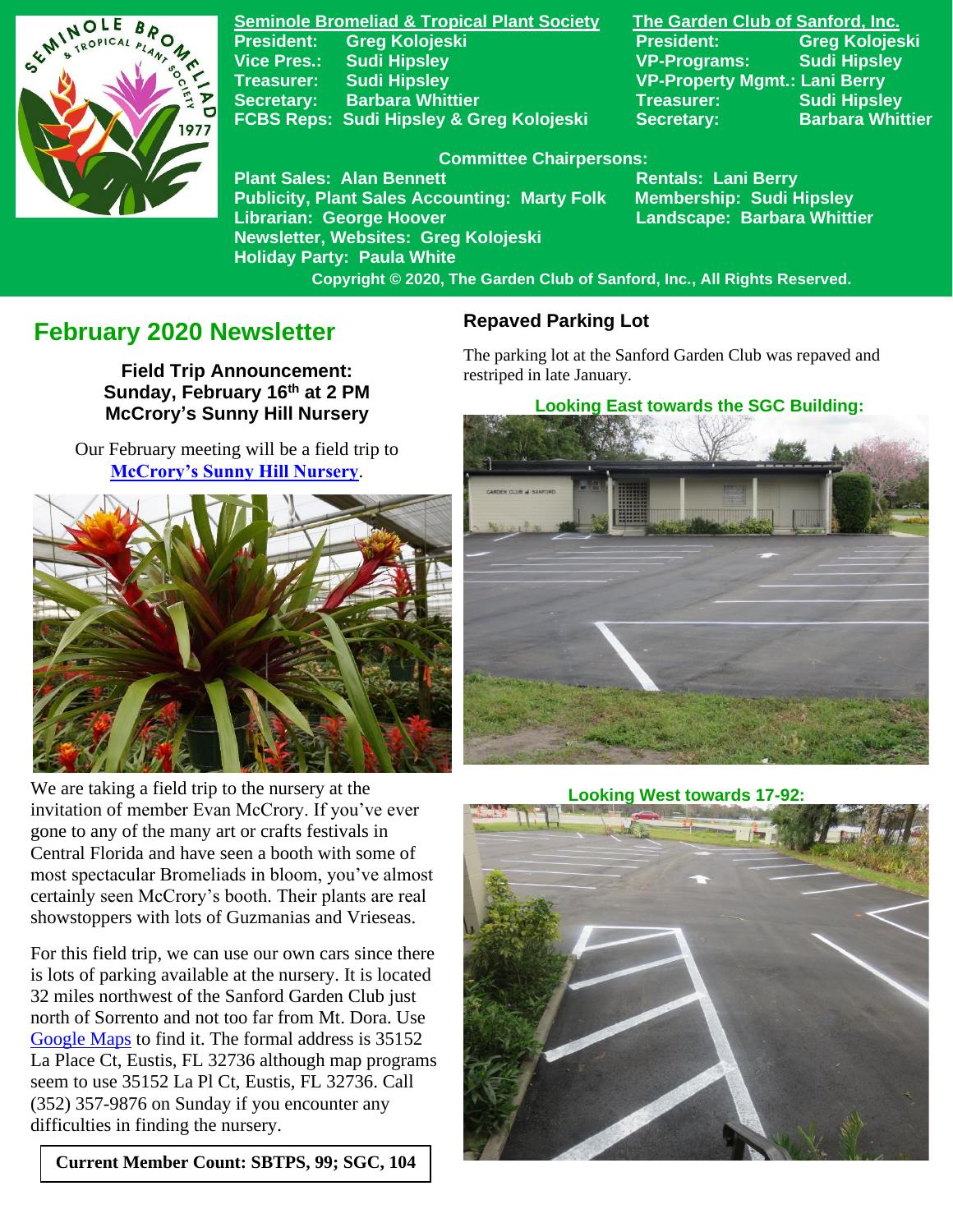

**Seminole Bromeliad & Tropical Plant Society The Garden Club of Sanford, Inc. Vice Pres.: Sudi Hipsley VP-Programs: Sudi Hipsley Treasurer: Sudi Hipsley VP-Property Mgmt.: Lani Berry Secretary:** Barbara Whittier **Network Treasurer:** Sudi Hipsley **FCBS Reps: Sudi Hipsley & Greg Kolojeski Secretary: Barbara Whittier** 

**President: Greg Kolojeski President: Greg Kolojeski** 

#### **Committee Chairpersons:**

Plant Sales: Alan Bennett<br>Publicity, Plant Sales Accounting: Marty Folk Membership: Sudi Hipsley **Publicity, Plant Sales Accounting: Marty Folk Librarian: George Hoover Landscape: Barbara Whittier Newsletter, Websites: Greg Kolojeski Holiday Party: Paula White** 

 **Copyright © 2020, The Garden Club of Sanford, Inc., All Rights Reserved.**

# **February 2020 Newsletter**

**Field Trip Announcement: Sunday, February 16 th at 2 PM McCrory's Sunny Hill Nursery**

Our February meeting will be a field trip to **[McCrory's Sunny Hill Nursery](https://www.mccrorysnursery.com/)**.



 We are taking a field trip to the nursery at the invitation of member Evan McCrory. If you've ever gone to any of the many art or crafts festivals in Central Florida and have seen a booth with some of most spectacular Bromeliads in bloom, you've almost certainly seen McCrory's booth. Their plants are real showstoppers with lots of Guzmanias and Vrieseas.

For this field trip, we can use our own cars since there is lots of parking available at the nursery. It is located 32 miles northwest of the Sanford Garden Club just north of Sorrento and not too far from Mt. Dora. Use [Google](https://www.google.com/maps/place/35152+La+Pl+Ct,+Eustis,+FL+32736/@28.860353,-81.5677317,992m/data=!3m1!1e3!4m5!3m4!1s0x88e7a1242cb42937:0x249886e75aa3694f!8m2!3d28.860353!4d-81.565543!6m1!1e1) Maps to find it. The formal address is 35152 La Place Ct, Eustis, FL 32736 although map programs seem to use 35152 La Pl Ct, Eustis, FL 32736. Call (352) 357-9876 on Sunday if you encounter any difficulties in finding the nursery.

**Current Member Count: SBTPS, 99; SGC, 104**

#### **Repaved Parking Lot**

The parking lot at the Sanford Garden Club was repaved and restriped in late January.

 **Looking East towards the SGC Building:**



#### **Looking West towards 17-92:**